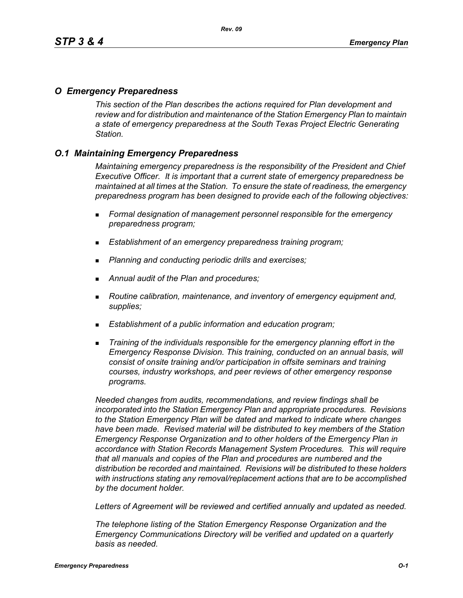### *O Emergency Preparedness*

*This section of the Plan describes the actions required for Plan development and review and for distribution and maintenance of the Station Emergency Plan to maintain a state of emergency preparedness at the South Texas Project Electric Generating Station.*

## *O.1 Maintaining Emergency Preparedness*

*Maintaining emergency preparedness is the responsibility of the President and Chief Executive Officer. It is important that a current state of emergency preparedness be maintained at all times at the Station. To ensure the state of readiness, the emergency preparedness program has been designed to provide each of the following objectives:*

- *Formal designation of management personnel responsible for the emergency preparedness program;*
- *Establishment of an emergency preparedness training program;*
- *Planning and conducting periodic drills and exercises;*
- *Annual audit of the Plan and procedures;*
- *Routine calibration, maintenance, and inventory of emergency equipment and, supplies;*
- *Establishment of a public information and education program;*
- *Training of the individuals responsible for the emergency planning effort in the Emergency Response Division. This training, conducted on an annual basis, will consist of onsite training and/or participation in offsite seminars and training courses, industry workshops, and peer reviews of other emergency response programs.*

*Needed changes from audits, recommendations, and review findings shall be incorporated into the Station Emergency Plan and appropriate procedures. Revisions to the Station Emergency Plan will be dated and marked to indicate where changes have been made. Revised material will be distributed to key members of the Station Emergency Response Organization and to other holders of the Emergency Plan in accordance with Station Records Management System Procedures. This will require that all manuals and copies of the Plan and procedures are numbered and the distribution be recorded and maintained. Revisions will be distributed to these holders with instructions stating any removal/replacement actions that are to be accomplished by the document holder.*

*Letters of Agreement will be reviewed and certified annually and updated as needed.*

*The telephone listing of the Station Emergency Response Organization and the Emergency Communications Directory will be verified and updated on a quarterly basis as needed.*